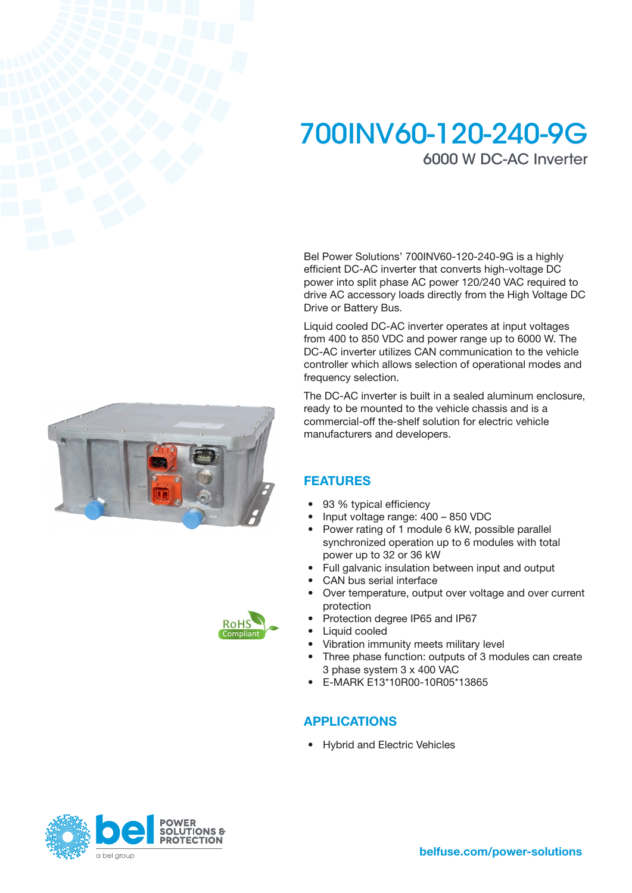# 700INV60-120-240-9G 6000 W DC-AC Inverter

Bel Power Solutions' 700INV60-120-240-9G is a highly efficient DC-AC inverter that converts high-voltage DC power into split phase AC power 120/240 VAC required to drive AC accessory loads directly from the High Voltage DC Drive or Battery Bus.

Liquid cooled DC-AC inverter operates at input voltages from 400 to 850 VDC and power range up to 6000 W. The DC-AC inverter utilizes CAN communication to the vehicle controller which allows selection of operational modes and frequency selection.

The DC-AC inverter is built in a sealed aluminum enclosure, ready to be mounted to the vehicle chassis and is a commercial-off the-shelf solution for electric vehicle manufacturers and developers.

### FEATURES

- 93 % typical efficiency
- Input voltage range: 400 850 VDC
- Power rating of 1 module 6 kW, possible parallel synchronized operation up to 6 modules with total power up to 32 or 36 kW
- Full galvanic insulation between input and output
- CAN bus serial interface
- Over temperature, output over voltage and over current protection
- Protection degree IP65 and IP67
- Liquid cooled
- Vibration immunity meets military level
- Three phase function: outputs of 3 modules can create 3 phase system 3 x 400 VAC
- E-MARK E13\*10R00-10R05\*13865

# APPLICATIONS

• Hybrid and Electric Vehicles





**RoHS** Compliant



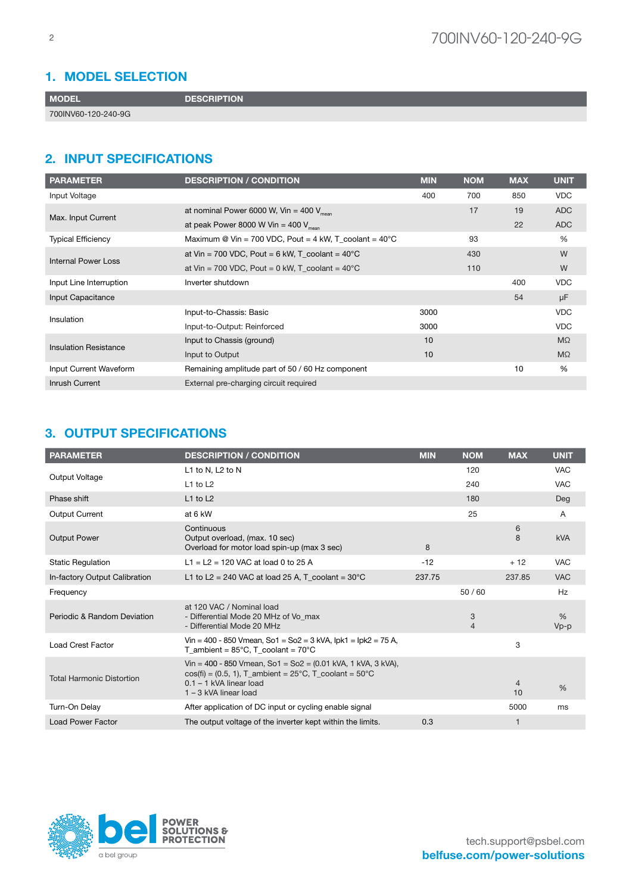### 1. MODEL SELECTION

MODEL DESCRIPTION

700INV60-120-240-9G

## 2. INPUT SPECIFICATIONS

| <b>PARAMETER</b>             | <b>DESCRIPTION / CONDITION</b>                                   | <b>MIN</b> | <b>NOM</b> | <b>MAX</b> | <b>UNIT</b> |
|------------------------------|------------------------------------------------------------------|------------|------------|------------|-------------|
| Input Voltage                |                                                                  | 400        | 700        | 850        | <b>VDC</b>  |
| Max. Input Current           | at nominal Power 6000 W, Vin = 400 $V_{mean}$                    |            | 17         | 19         | <b>ADC</b>  |
|                              | at peak Power 8000 W Vin = 400 $V_{\text{mean}}$                 |            |            | 22         | <b>ADC</b>  |
| <b>Typical Efficiency</b>    | Maximum @ Vin = 700 VDC, Pout = 4 kW, T coolant = $40^{\circ}$ C |            | 93         |            | $\%$        |
| Internal Power Loss          | at Vin = 700 VDC, Pout = 6 kW, T coolant = $40^{\circ}$ C        |            | 430        |            | W           |
|                              | at Vin = 700 VDC, Pout = 0 kW, $T_{\rm c}$ coolant = 40°C        |            | 110        |            | W           |
| Input Line Interruption      | Inverter shutdown                                                |            |            | 400        | <b>VDC</b>  |
| Input Capacitance            |                                                                  |            |            | 54         | μF          |
| Insulation                   | Input-to-Chassis: Basic                                          | 3000       |            |            | <b>VDC</b>  |
|                              | Input-to-Output: Reinforced                                      | 3000       |            |            | <b>VDC</b>  |
| <b>Insulation Resistance</b> | Input to Chassis (ground)                                        | 10         |            |            | $M\Omega$   |
|                              | Input to Output                                                  | 10         |            |            | $M\Omega$   |
| Input Current Waveform       | Remaining amplitude part of 50 / 60 Hz component                 |            |            | 10         | %           |
| <b>Inrush Current</b>        | External pre-charging circuit required                           |            |            |            |             |

### 3. OUTPUT SPECIFICATIONS

| <b>PARAMETER</b>                 | <b>DESCRIPTION / CONDITION</b>                                                                                                                                                                             | <b>MIN</b> | <b>NOM</b>          | <b>MAX</b>           | <b>UNIT</b>    |
|----------------------------------|------------------------------------------------------------------------------------------------------------------------------------------------------------------------------------------------------------|------------|---------------------|----------------------|----------------|
|                                  | L1 to N, L2 to N                                                                                                                                                                                           |            | 120                 |                      | <b>VAC</b>     |
| Output Voltage                   | $L1$ to $L2$                                                                                                                                                                                               |            | 240                 |                      | <b>VAC</b>     |
| Phase shift                      | $L1$ to $L2$                                                                                                                                                                                               |            | 180                 |                      | Deg            |
| <b>Output Current</b>            | at 6 kW                                                                                                                                                                                                    |            | 25                  |                      | $\mathsf{A}$   |
| <b>Output Power</b>              | Continuous<br>Output overload, (max. 10 sec)<br>Overload for motor load spin-up (max 3 sec)                                                                                                                | 8          |                     | 6<br>8               | <b>kVA</b>     |
| <b>Static Regulation</b>         | L1 = L2 = 120 VAC at load 0 to 25 A                                                                                                                                                                        | $-12$      |                     | $+12$                | <b>VAC</b>     |
| In-factory Output Calibration    | L1 to L2 = 240 VAC at load 25 A, T coolant = $30^{\circ}$ C                                                                                                                                                | 237.75     |                     | 237.85               | <b>VAC</b>     |
| Frequency                        |                                                                                                                                                                                                            |            | 50/60               |                      | Hz             |
| Periodic & Random Deviation      | at 120 VAC / Nominal load<br>- Differential Mode 20 MHz of Vo max<br>- Differential Mode 20 MHz                                                                                                            |            | 3<br>$\overline{4}$ |                      | $\%$<br>$Vp-p$ |
| <b>Load Crest Factor</b>         | Vin = 400 - 850 Vmean, So1 = So2 = 3 kVA, lpk1 = lpk2 = 75 A,<br>T ambient = $85^{\circ}$ C. T coolant = $70^{\circ}$ C                                                                                    |            |                     | 3                    |                |
| <b>Total Harmonic Distortion</b> | Vin = 400 - 850 Vmean, So1 = So2 = $(0.01 \text{ kVA}, 1 \text{ kVA}, 3 \text{ kVA})$ ,<br>$cos(fi) = (0.5, 1)$ , T_ambient = 25°C, T_coolant = 50°C<br>$0.1 - 1$ kVA linear load<br>1 - 3 kVA linear load |            |                     | $\overline{4}$<br>10 | $\frac{0}{6}$  |
| Turn-On Delay                    | After application of DC input or cycling enable signal                                                                                                                                                     |            |                     | 5000                 | ms             |
| <b>Load Power Factor</b>         | The output voltage of the inverter kept within the limits.                                                                                                                                                 | 0.3        |                     | 1                    |                |

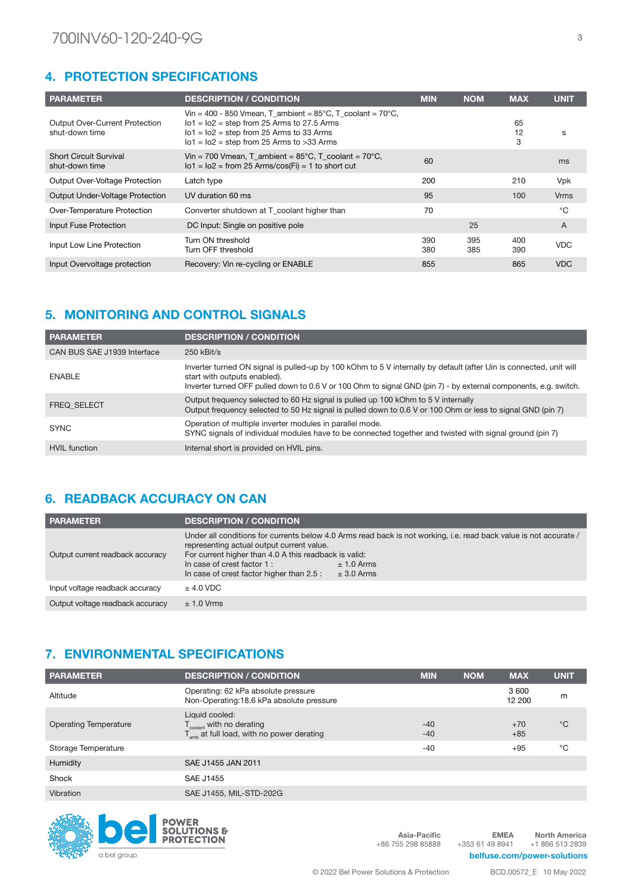# 4. PROTECTION SPECIFICATIONS

| <b>PARAMETER</b>                                        | <b>DESCRIPTION / CONDITION</b>                                                                                                                                                                                              | <b>MIN</b> | <b>NOM</b> | <b>MAX</b>    | <b>UNIT</b> |
|---------------------------------------------------------|-----------------------------------------------------------------------------------------------------------------------------------------------------------------------------------------------------------------------------|------------|------------|---------------|-------------|
| <b>Output Over-Current Protection</b><br>shut-down time | Vin = 400 - 850 Vmean, T_ambient = $85^{\circ}$ C, T_coolant = $70^{\circ}$ C,<br>$101 = 102$ = step from 25 Arms to 27.5 Arms<br>$101 = 102$ = step from 25 Arms to 33 Arms<br>$101 = 102$ = step from 25 Arms to >33 Arms |            |            | 65<br>12<br>3 | s           |
| <b>Short Circuit Survival</b><br>shut-down time         | Vin = 700 Vmean, T ambient = $85^{\circ}$ C, T coolant = 70 $^{\circ}$ C,<br>$101 = 102 = from 25 \text{ Arms}/cos(Fi) = 1$ to short cut                                                                                    | 60         |            |               | ms          |
| <b>Output Over-Voltage Protection</b>                   | Latch type                                                                                                                                                                                                                  | 200        |            | 210           | <b>Vpk</b>  |
| <b>Output Under-Voltage Protection</b>                  | UV duration 60 ms                                                                                                                                                                                                           | 95         |            | 100           | <b>Vrms</b> |
| Over-Temperature Protection                             | Converter shutdown at T coolant higher than                                                                                                                                                                                 | 70         |            |               | °C          |
| Input Fuse Protection                                   | DC Input: Single on positive pole                                                                                                                                                                                           |            | 25         |               | A           |
| Input Low Line Protection                               | Turn ON threshold<br>Turn OFF threshold                                                                                                                                                                                     | 390<br>380 | 395<br>385 | 400<br>390    | <b>VDC</b>  |
| Input Overvoltage protection                            | Recovery: Vin re-cycling or ENABLE                                                                                                                                                                                          | 855        |            | 865           | <b>VDC</b>  |

# 5. MONITORING AND CONTROL SIGNALS

| <b>PARAMETER</b>            | <b>DESCRIPTION / CONDITION</b>                                                                                                                                                                                                                                         |
|-----------------------------|------------------------------------------------------------------------------------------------------------------------------------------------------------------------------------------------------------------------------------------------------------------------|
| CAN BUS SAE J1939 Interface | $250$ kBit/s                                                                                                                                                                                                                                                           |
| <b>ENABLE</b>               | Inverter turned ON signal is pulled-up by 100 kOhm to 5 V internally by default (after Uin is connected, unit will<br>start with outputs enabled).<br>Inverter turned OFF pulled down to 0.6 V or 100 Ohm to signal GND (pin 7) - by external components, e.g. switch. |
| <b>FREQ SELECT</b>          | Output frequency selected to 60 Hz signal is pulled up 100 kOhm to 5 V internally<br>Output frequency selected to 50 Hz signal is pulled down to 0.6 V or 100 Ohm or less to signal GND (pin 7)                                                                        |
| <b>SYNC</b>                 | Operation of multiple inverter modules in parallel mode.<br>SYNC signals of individual modules have to be connected together and twisted with signal ground (pin 7)                                                                                                    |
| <b>HVIL</b> function        | Internal short is provided on HVIL pins.                                                                                                                                                                                                                               |

# 6. READBACK ACCURACY ON CAN

| <b>PARAMETER</b>                 | <b>DESCRIPTION / CONDITION</b>                                                                                                                                                                                                                                                                                                     |
|----------------------------------|------------------------------------------------------------------------------------------------------------------------------------------------------------------------------------------------------------------------------------------------------------------------------------------------------------------------------------|
| Output current readback accuracy | Under all conditions for currents below 4.0 Arms read back is not working, i.e. read back value is not accurate /<br>representing actual output current value.<br>For current higher than 4.0 A this readback is valid:<br>In case of crest factor 1:<br>$± 1.0$ Arms<br>In case of crest factor higher than 2.5 :<br>$± 3.0$ Arms |
| Input voltage readback accuracy  | $±$ 4.0 VDC                                                                                                                                                                                                                                                                                                                        |
| Output voltage readback accuracy | $\pm$ 1.0 Vrms                                                                                                                                                                                                                                                                                                                     |

# 7. ENVIRONMENTAL SPECIFICATIONS

| <b>PARAMETER</b>             | <b>DESCRIPTION / CONDITION</b>                                                                                  | <b>MIN</b>     | <b>NOM</b> | <b>MAX</b>     | <b>UNIT</b> |
|------------------------------|-----------------------------------------------------------------------------------------------------------------|----------------|------------|----------------|-------------|
| Altitude                     | Operating: 62 kPa absolute pressure<br>Non-Operating:18.6 kPa absolute pressure                                 |                |            | 3600<br>12 200 | m           |
| <b>Operating Temperature</b> | Liquid cooled:<br>$T_{\text{codant}}$ with no derating<br>$T_{\text{amb}}$ at full load, with no power derating | $-40$<br>$-40$ |            | $+70$<br>$+85$ | $^{\circ}C$ |
| Storage Temperature          |                                                                                                                 | $-40$          |            | $+95$          | °C          |
| Humidity                     | SAE J1455 JAN 2011                                                                                              |                |            |                |             |
| Shock                        | SAE J1455                                                                                                       |                |            |                |             |
| Vibration                    | SAE J1455, MIL-STD-202G                                                                                         |                |            |                |             |



Asia-Pacific +86 755 298 85888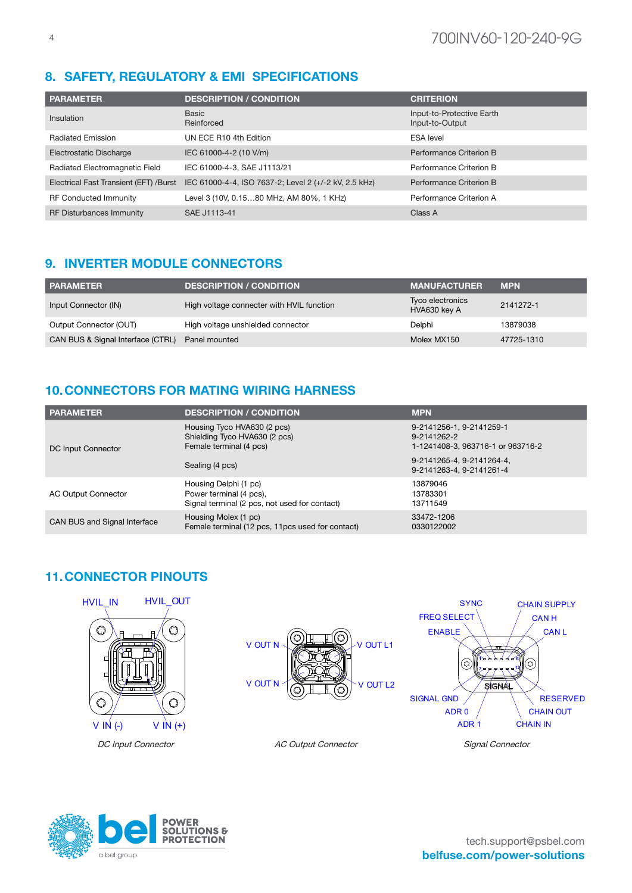# 8. SAFETY, REGULATORY & EMI SPECIFICATIONS

| <b>PARAMETER</b>                       | <b>DESCRIPTION / CONDITION</b>                        | <b>CRITERION</b>                             |
|----------------------------------------|-------------------------------------------------------|----------------------------------------------|
| Insulation                             | Basic<br>Reinforced                                   | Input-to-Protective Earth<br>Input-to-Output |
| <b>Radiated Emission</b>               | UN ECE R10 4th Edition                                | <b>ESA</b> level                             |
| Electrostatic Discharge                | IEC 61000-4-2 (10 V/m)                                | Performance Criterion B                      |
| Radiated Electromagnetic Field         | IEC 61000-4-3, SAE J1113/21                           | Performance Criterion B                      |
| Electrical Fast Transient (EFT) /Burst | IEC 61000-4-4, ISO 7637-2; Level 2 (+/-2 kV, 2.5 kHz) | Performance Criterion B                      |
| <b>RF Conducted Immunity</b>           | Level 3 (10V, 0.1580 MHz, AM 80%, 1 KHz)              | Performance Criterion A                      |
| <b>RF Disturbances Immunity</b>        | SAE J1113-41                                          | Class A                                      |

# 9. INVERTER MODULE CONNECTORS

| <b>PARAMETER</b>                  | <b>DESCRIPTION / CONDITION</b>            | <b>MANUFACTURER</b>              | <b>MPN</b> |
|-----------------------------------|-------------------------------------------|----------------------------------|------------|
| Input Connector (IN)              | High voltage connecter with HVIL function | Tyco electronics<br>HVA630 key A | 2141272-1  |
| Output Connector (OUT)            | High voltage unshielded connector         | Delphi                           | 13879038   |
| CAN BUS & Signal Interface (CTRL) | Panel mounted                             | Molex MX150                      | 47725-1310 |

# 10.CONNECTORS FOR MATING WIRING HARNESS

| <b>PARAMETER</b>             | <b>DESCRIPTION / CONDITION</b>                                                                    | <b>MPN</b>                                                                   |
|------------------------------|---------------------------------------------------------------------------------------------------|------------------------------------------------------------------------------|
| DC Input Connector           | Housing Tyco HVA630 (2 pcs)<br>Shielding Tyco HVA630 (2 pcs)<br>Female terminal (4 pcs)           | 9-2141256-1, 9-2141259-1<br>9-2141262-2<br>1-1241408-3, 963716-1 or 963716-2 |
|                              | Sealing (4 pcs)                                                                                   | 9-2141265-4, 9-2141264-4,<br>9-2141263-4, 9-2141261-4                        |
| AC Output Connector          | Housing Delphi (1 pc)<br>Power terminal (4 pcs),<br>Signal terminal (2 pcs, not used for contact) | 13879046<br>13783301<br>13711549                                             |
| CAN BUS and Signal Interface | Housing Molex (1 pc)<br>Female terminal (12 pcs, 11 pcs used for contact)                         | 33472-1206<br>0330122002                                                     |

# 11.CONNECTOR PINOUTS



DC Input Connector AC Output Connector Signal Connector





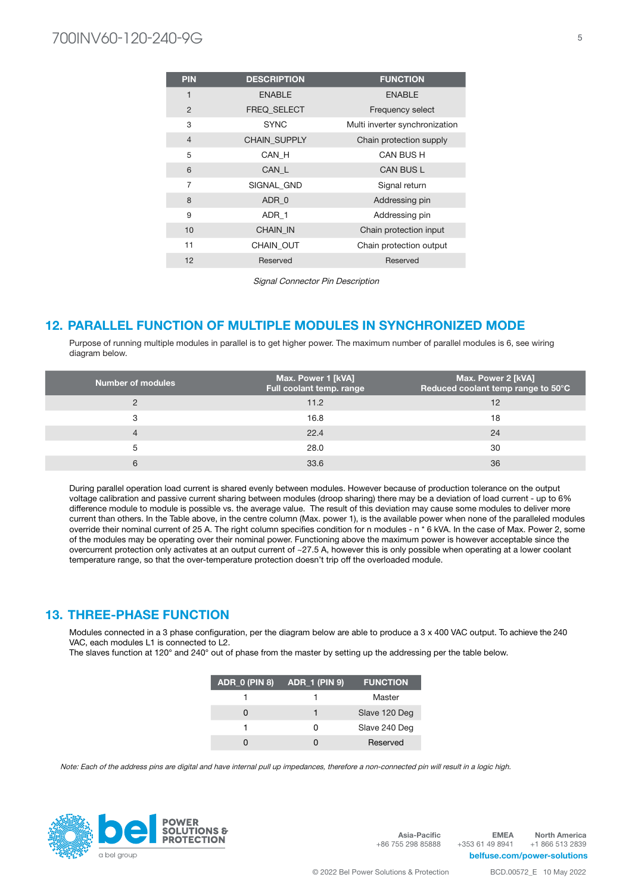# 700INV60-120-240-9G <sup>5</sup>

| <b>PIN</b>     | <b>DESCRIPTION</b>  | <b>FUNCTION</b>                |
|----------------|---------------------|--------------------------------|
| 1              | <b>ENABLE</b>       | <b>ENABLE</b>                  |
| $\overline{2}$ | <b>FREQ SELECT</b>  | Frequency select               |
| 3              | <b>SYNC</b>         | Multi inverter synchronization |
| $\overline{4}$ | <b>CHAIN SUPPLY</b> | Chain protection supply        |
| 5              | CAN H               | CAN BUS H                      |
| 6              | CAN_L               | <b>CAN BUS L</b>               |
| $\overline{7}$ | SIGNAL GND          | Signal return                  |
| 8              | ADR 0               | Addressing pin                 |
| 9              | ADR_1               | Addressing pin                 |
| 10             | <b>CHAIN IN</b>     | Chain protection input         |
| 11             | <b>CHAIN OUT</b>    | Chain protection output        |
| 12             | Reserved            | Reserved                       |

Signal Connector Pin Description

### 12. PARALLEL FUNCTION OF MULTIPLE MODULES IN SYNCHRONIZED MODE

Purpose of running multiple modules in parallel is to get higher power. The maximum number of parallel modules is 6, see wiring diagram below.

| <b>Number of modules</b> | Max. Power 1 [kVA]<br>Full coolant temp. range | Max. Power 2 [kVA]<br>Reduced coolant temp range to 50°C |
|--------------------------|------------------------------------------------|----------------------------------------------------------|
| っ                        | 11.2                                           | 12                                                       |
| 3                        | 16.8                                           | 18                                                       |
| $\overline{4}$           | 22.4                                           | 24                                                       |
| 5                        | 28.0                                           | -30                                                      |
| 6                        | 33.6                                           | 36                                                       |

During parallel operation load current is shared evenly between modules. However because of production tolerance on the output voltage calibration and passive current sharing between modules (droop sharing) there may be a deviation of load current - up to 6% difference module to module is possible vs. the average value. The result of this deviation may cause some modules to deliver more current than others. In the Table above, in the centre column (Max. power 1), is the available power when none of the paralleled modules override their nominal current of 25 A. The right column specifies condition for n modules - n \* 6 kVA. In the case of Max. Power 2, some of the modules may be operating over their nominal power. Functioning above the maximum power is however acceptable since the overcurrent protection only activates at an output current of ~27.5 A, however this is only possible when operating at a lower coolant temperature range, so that the over-temperature protection doesn't trip off the overloaded module.

### 13. THREE-PHASE FUNCTION

Modules connected in a 3 phase configuration, per the diagram below are able to produce a 3 x 400 VAC output. To achieve the 240 VAC, each modules L1 is connected to L2.

The slaves function at 120° and 240° out of phase from the master by setting up the addressing per the table below.

| $ADR_0$ (PIN 8) | <b>ADR_1 (PIN 9)</b> | <b>FUNCTION</b> |
|-----------------|----------------------|-----------------|
|                 |                      | Master          |
|                 |                      | Slave 120 Deg   |
|                 |                      | Slave 240 Deg   |
|                 |                      | Reserved        |

Note: Each of the address pins are digital and have internal pull up impedances, therefore a non-connected pin will result in a logic high.



Asia-Pacific +86 755 298 85888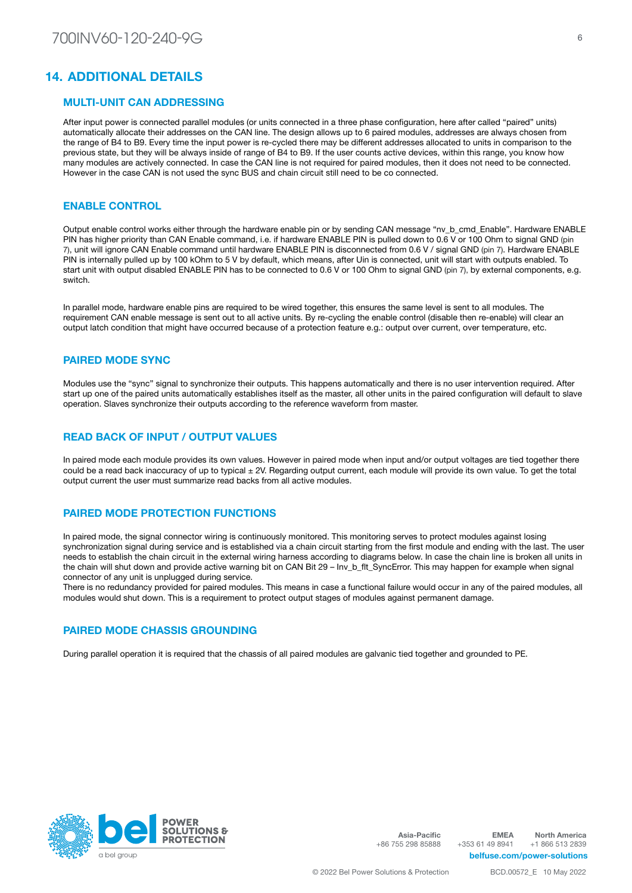### 14. ADDITIONAL DETAILS

#### MULTI-UNIT CAN ADDRESSING

After input power is connected parallel modules (or units connected in a three phase configuration, here after called "paired" units) automatically allocate their addresses on the CAN line. The design allows up to 6 paired modules, addresses are always chosen from the range of B4 to B9. Every time the input power is re-cycled there may be different addresses allocated to units in comparison to the previous state, but they will be always inside of range of B4 to B9. If the user counts active devices, within this range, you know how many modules are actively connected. In case the CAN line is not required for paired modules, then it does not need to be connected. However in the case CAN is not used the sync BUS and chain circuit still need to be co connected.

### ENABLE CONTROL

Output enable control works either through the hardware enable pin or by sending CAN message "nv\_b\_cmd\_Enable". Hardware ENABLE PIN has higher priority than CAN Enable command, i.e. if hardware ENABLE PIN is pulled down to 0.6 V or 100 Ohm to signal GND (pin 7), unit will ignore CAN Enable command until hardware ENABLE PIN is disconnected from 0.6 V / signal GND (pin 7). Hardware ENABLE PIN is internally pulled up by 100 kOhm to 5 V by default, which means, after Uin is connected, unit will start with outputs enabled. To start unit with output disabled ENABLE PIN has to be connected to 0.6 V or 100 Ohm to signal GND (pin 7), by external components, e.g. switch.

In parallel mode, hardware enable pins are required to be wired together, this ensures the same level is sent to all modules. The requirement CAN enable message is sent out to all active units. By re-cycling the enable control (disable then re-enable) will clear an output latch condition that might have occurred because of a protection feature e.g.: output over current, over temperature, etc.

#### PAIRED MODE SYNC

Modules use the "sync" signal to synchronize their outputs. This happens automatically and there is no user intervention required. After start up one of the paired units automatically establishes itself as the master, all other units in the paired configuration will default to slave operation. Slaves synchronize their outputs according to the reference waveform from master.

#### READ BACK OF INPUT / OUTPUT VALUES

In paired mode each module provides its own values. However in paired mode when input and/or output voltages are tied together there could be a read back inaccuracy of up to typical ± 2V. Regarding output current, each module will provide its own value. To get the total output current the user must summarize read backs from all active modules.

#### PAIRED MODE PROTECTION FUNCTIONS

In paired mode, the signal connector wiring is continuously monitored. This monitoring serves to protect modules against losing synchronization signal during service and is established via a chain circuit starting from the first module and ending with the last. The user needs to establish the chain circuit in the external wiring harness according to diagrams below. In case the chain line is broken all units in the chain will shut down and provide active warning bit on CAN Bit 29 – Inv\_b\_flt\_SyncError. This may happen for example when signal connector of any unit is unplugged during service.

There is no redundancy provided for paired modules. This means in case a functional failure would occur in any of the paired modules, all modules would shut down. This is a requirement to protect output stages of modules against permanent damage.

#### PAIRED MODE CHASSIS GROUNDING

During parallel operation it is required that the chassis of all paired modules are galvanic tied together and grounded to PE.



Asia-Pacific +86 755 298 85888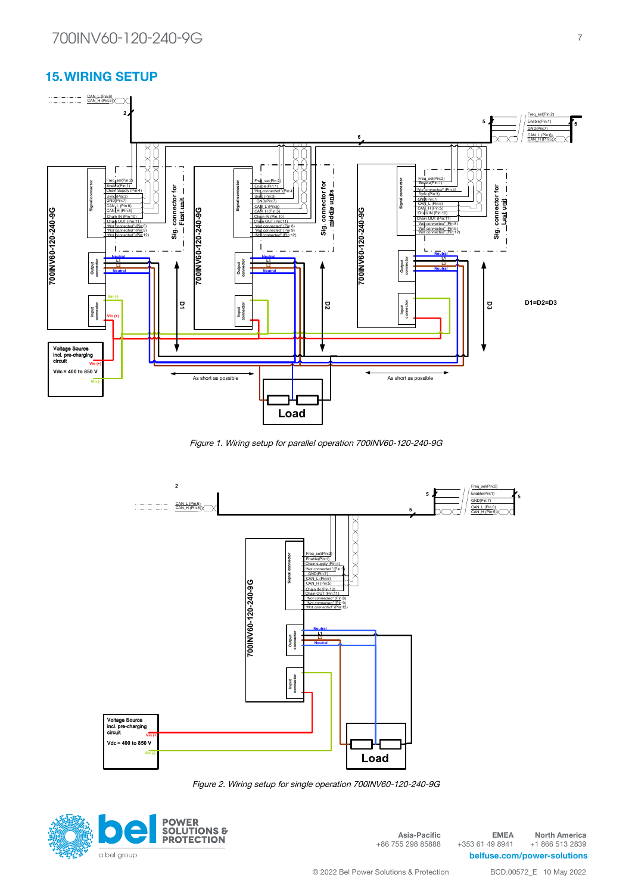#### 15.WIRING SETUP **Wiring schematic for parallel operation inverter ver.: 1.2**



Figure 1. Wiring setup for parallel operation 700INV60-120-240-9G



Figure 2. Wiring setup for single operation 700INV60-120-240-9G



Asia-Pacific +86 755 298 85888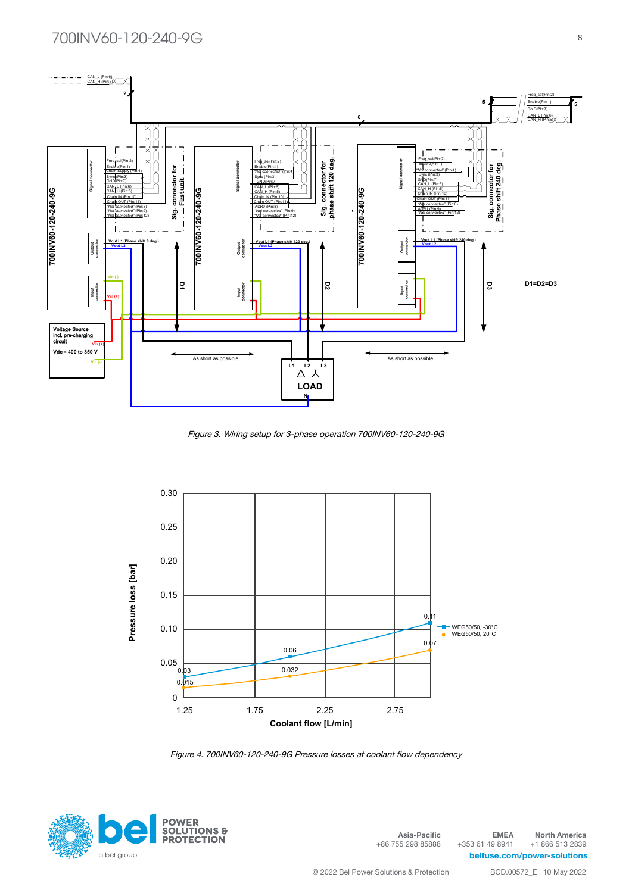

Figure 3. Wiring setup for 3-phase operation 700INV60-120-240-9G



Figure 4. 700INV60-120-240-9G Pressure losses at coolant flow dependency



Asia-Pacific +86 755 298 85888